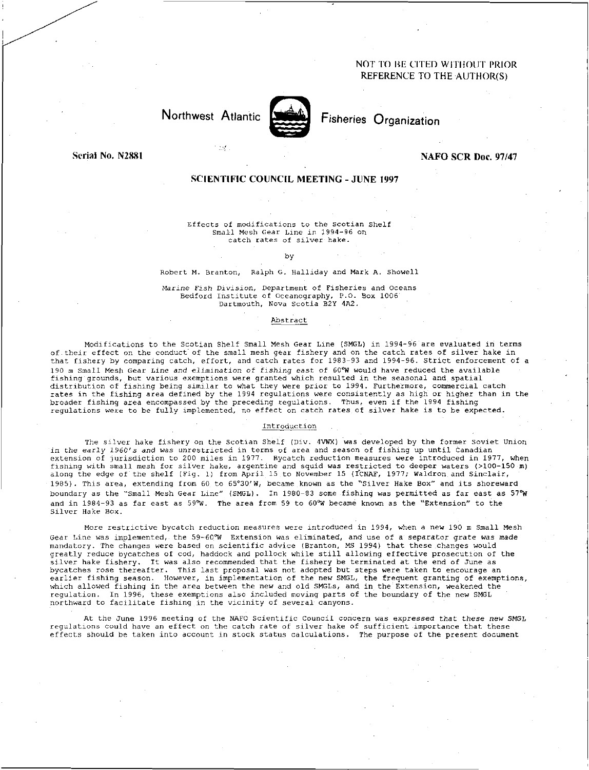## NOT TO BE CITED WITHOUT PRIOR REFERENCE TO THE AUTHOR(S)

# Northwest Atlantic Fisheries Organization

 $\mathcal{M}$ 



Serial No. N2881 Nafo Scripture of the Contract of the Contract of the NAFO SCR Doc. 97/47

### SCIENTIFIC COUNCIL MEETING - JUNE 1997

Effects of modifications to the Scotian Shelf Small Mesh Gear Line in 1994-96 on catch rates of silver hake.

#### by

#### Robert M. Branton, Ralph G. Halliday and Mark A. Showell

*Marine Fish Division,* Department of Fisheries and Oceans Bedford Institute of Oceanography, P.O. Box 1006' Dartmouth, Nova Scotia B2Y 4A2.

#### Abstract

Modifications to the Scotian Shelf Small Mesh Gear Line (SMGL) in 1994-96 are evaluated in terms of their effect on the conduct of the small mesh gear fishery and on the catch rates of silver hake in that fishery by comparing catch, effort, and catch rates for 1983-93 and 1994-96. Strict enforcement of a 190 m Small Mesh Gear Line *and* elimination of *fishing* east of 60 °W would have reduced the available fishing grounds, but various exemptions were granted which resulted in the seasonal and spatial distribution of fishing being similar to what they were prior to 1994. Furthermore, commercial catch rates in the fishing area defined by the 1994 regulations were consistently as high or higher than in the broader fishing area encompassed by the preceding regulations. Thus, even if the 1994 fishing regulations were to be fully implemented, no effect on catch rates of silver hake is to be expected.

#### Introduction

The silver hake fishery on the Scotian Shelf (Div. 4VWX) was developed by the former Soviet Union in the *early 1960's and was* unrestricted in terms of area and season of fishing up until Canadian extension of jurisdiction to 200 miles in 1977. Bycatch reduction measures were introduced in 1977, when fishing with small mesh for silver hake, argentine and squid was restricted to deeper waters (>100-150 m) along the edge of the shelf (Fig. 1) from April 15 to November 15 (ICNAF, 1977; Waldron and Sinclair, 1985). This area, extending from 60 to 65°30'W, became known as the "Silver Hake Box" and its shoreward boundary as the "Small Mesh Gear Line" (SMGL). In 1980-83 some fishing was permitted as far east *as 57 °W*  and in 1984-93 as far east as 59 $W$ . The area from 59 to 60 $W$  became known as the "Extension" to the Silver Hake Box.

More restrictive bycatch reduction measures were introduced in 1994, when a new 190 m Small Mesh Gear Line was implemented, the 59-60°W Extension was eliminated, and use of a separator grate was made mandatory. The changes were based on scientific advice (Branton, MS 1994) that these changes would greatly reduce bycatches of cod, haddock and pollock while still allowing effective prosecution of the silver hake fishery. It was also recommended that the fishery be terminated at the end of June as bycatches rose thereafter. This last proposal was not adopted but steps were taken to encourage an earlier fishing season. However, in implementation of the new SMGL, the frequent granting of exemptions, which allowed fishing in the area between the new and old SMGLs, and in the Extension, weakened the regulation. In 1996, these exemptions also included moving parts of the boundary of the new SMGL northward to facilitate fishing in the vicinity of several canyons.

At the June 1996 meeting of the NAFO Scientific Council concern was expressed *that these new SMGL*  regulations could have an effect on the catch rate of silver hake of sufficient importance that these effects should be taken into account in stock status calculations. The purpose of the present document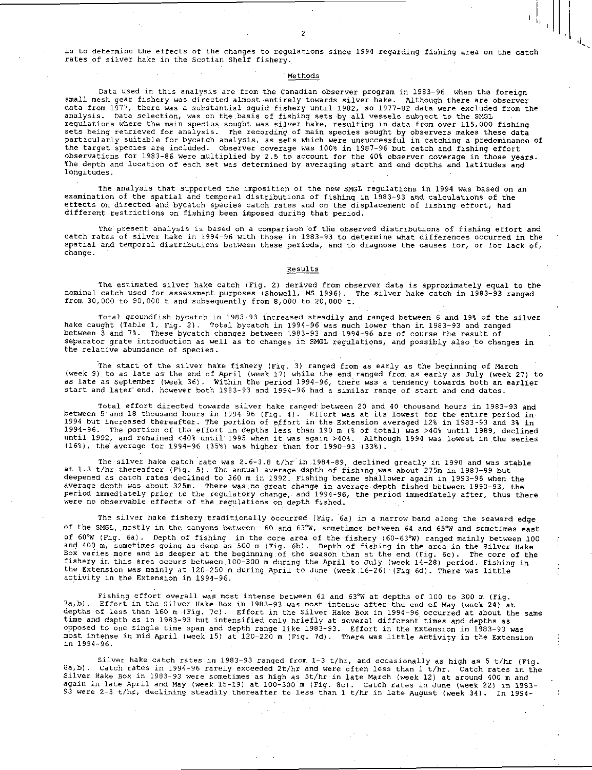is to determine the effects of the changes to regulations since 1994 regarding fishing area on the catch rates of silver hake in the Scotian Shelf fishery.

 $\overline{2}$ 

#### Methods

Data used in this analysis are from the Canadian observer program in 1983-96 when the foreign small mesh gear fishery was directed almost entirely towards silver hake. Although there are observer data from 1977, there was a substantial squid fishery until 1982, so 1977-82 data were excluded from the analysis. Data selection, was on the basis of fishing sets by all vessels subject to the SMGL regulations where the main species sought was silver hake, resulting in data from over 115,000 fishing sets being retrieved for analysis. The recording of main species sought by observers makes these data particularly suitable for bycatch analysis, as sets which were unsuccessful in catching a predominance of the target species are included. Observer coverage was 100% in 1987-96 but catch and fishing effort observations for 1983-86 were multiplied by 2.5 to account for the 40% observer coverage in those years. The depth and location of each set was determined by averaging start and end depths and latitudes and longitudes.

The analysis that supported the imposition of the new SMGL regulations in 1994 was based on an examination of the spatial and temporal distributions of fishing in 1983-93 and calculations of the effects on directed and bycatch species catch rates and on the displacement of fishing effort, had different restrictions on fishing been imposed during that period.

The present analysis is based on a comparison of the observed distributions of fishing effort and catch rates of silver hake in 1994-96 with those in 1983-93 to determine what differences occurred in the spatial and temporal distributions between these periods, and to diagnose the causes for, or for lack of, change.

#### Results

The estimated silver hake catch (Fig. 2) derived from observer data is approximately equal to the nominal catch used for assessment purposes (Showell, MS 1996). The silver hake catch in 1983-93 ranged from 30,000 to 90,000 t and subsequently from 8,000 to 20,000 t.

Total groundfish bycatch in 1983-93 increased steadily and ranged between 6 and 19% of the silver hake caught (Table 1, Fig. 2). Total bycatch in 1994-96 was much lower than in 1983-93 and ranged between 3 and 7%. These bycatch changes between 1983-93 and 1994-96 are of course the result of separator grate introduction as well as to changes in SMGL regulations, and possibly also to changes in the relative abundance of species.

The start of the silver hake fishery (Fig. 3) ranged from as early as the beginning of March (week 9) to as late as the end of April (week 17) while the end ranged from as early as July (week 27) to as late as September (week 36). Within the period 1994-96, there was a tendency towards both an earlier start and later" end, however both 1983-93 and 1994-96 had a similar range of start and end dates.

Total effort directed towards silver hake ranged between 20 and 40 thousand hours in 1983-93 and between 5 and 18 thousand hours in 1994-96 (Fig. 4). Effort was at its lowest for the entire period in 1994 but increased thereafter. The portion of effort in the Extension averaged 12% in 1983-93 and 3% in 1994-96. The portion of the effort in depths less than 190 m (% of total) was >40% until 1989, declined until 1992, and remained <40% until 1995 when it was again >40%. Although 1994 was lowest in the series (16%), the average for 1994-96 (35%) was higher than for 1990-93 (33%).

The silver hake catch rate was 2.6-3.8 t/hr in 1984-89, declined greatly in 1990 and was stable at 1.3 t/hr thereafter (Fig. 5). The annual average depth of fishing was about.275m in 1983-89 but deepened as catch rates declined to 360 m in 1992. Fishing became shallower again in 1993-96 when the average depth was about 325m. There was no great change in average depth fished between 1990-93, the period immediately prior to the regulatory change, and 1994-96, the period immediately after, thus there were no observable effects of the regulations on depth fished.

The silver hake fishery traditionally occurred (Fig. 6a) in a narrow band along the seaward edge of the SMGL, mostly in the canyons between 60 and 63°W, sometimes between 64 and 65°W and sometimes east<br>of 60°W (Fig. 6a). Depth of fishing in the core area of the fishery (60-63°W) ranged mainly between 100 of 60°W (Fig. 6a). Depth of fishing in the core area of the fishery (60–63°W) ranged mainly between 100<br>and 400 m, sometimes going as deep as 500 m (Fig. 6b). Depth of fishing in the area in the Silver Hake<br>Box varies mor fishery in this area occurs between 100-300 m during the April to July (week 14-28) period. Fishing in the Extension was mainly at 120-250 m during April to June (week 16-26) (Fig 6d). There was little activity in the Extension in 1994-96.

Fishing effort overall was most intense between 61 and 63°W at depths of 100 to 300 m (Fig. 7a,b). Effort in the Silver Hake Box in 1983-93 was most intense after the end of May (week 24) at depths of less than 160 m (Fig. 7c). Effort in the Silver Hake Box in 1994-96 occurred at about the same time and depth as in 1983-93 but intensified only briefly at several different times and depths as opposed to one single time span and depth range like 1983-93. Effort in the Extension in 1983-93 was most intense in mid April (week 15) at 120-220 m (Fig. 7d). There was little activity in the Extension in 1994-96.

Silver hake catch rates in 1983-93 ranged from 1-3 t/hr, and occasionally as high as 5 t/hr (Fig. 8a,b). Catch rates in 1994-96 rarely exceeded 2t/hr and were often less than 1 t/hr. Catch rates in the Silver Hake Box in 1983–93 were sometimes as high as 5t/hr in late March (week 12) at around 400 m and<br>again in late April and May (week 15–19) at 100–300 m (Fig. 8c). Catch rates in June (week 22) in 1983<br>93 were 2–3 t/h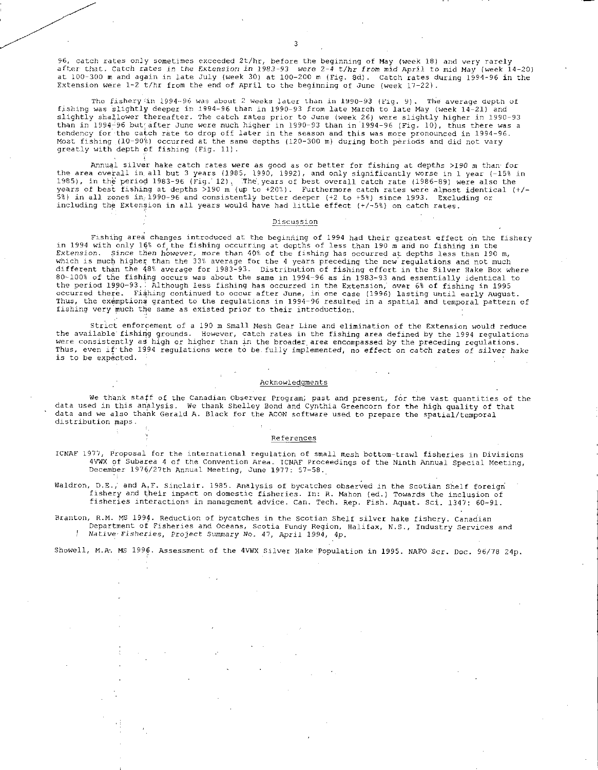96, catch rates only sometimes exceeded 2t/hr, before the beginning of May (week 18) and very rarely after that. Catch rates in the Extension in 1983-93 were 2-4 t/hr *from* mid April to mid May (week 14-20) at 100-300 m and again in late July (week 30) at 100-200 m (Fig. 8d). Catch rates during 1994-96 in the Extension were  $1-2$  t/hr from the end of April to the beginning of June (week  $17-22$ ).

The fishery/in 1994-96 was about 2 weeks later than in 1990-93 (Fig. 9). The average depth of fishing was slightly deeper in 1994-96 than in 1990-93 from late March to late May (week 14-21) and slightly shallower thereafter. The catch rates prior to June (week 26) were slightly higher in 1990-93 than in 1994-96 but after June were much higher in 1990-93 than in 1994-96 (Fig. 10), thus there was a tendency for-the catch rate to drop off later in the season and this was more pronounced in 1994-96. Most fishing (10-90%) occurred at the same depths (120-300 m) during both periods and did not vary greatly with depth of fishing (Fig. 11).

Annual silver hake catch rates were as good as or better for fishing at depths >190 m than for the area overall in all but 3 years (1985, 1990, 1992), and only significantly worse in 1 year ( - 15% in 1985), in the period 1983–96 (Fig. 12). The years of best overall catch rate (1986–89) were also the<br>years of best fishing at depths >190 m (up to +207). Furthermore catch rates were almost identical (+/-5%) in all zones in,1990-96 and consistently better deeper (+2 to +5%) since 1993. Excluding or including the Extension in all years would have had little effect (+/-5%) on catch rates.

#### Discussion

Fishing area changes introduced at the beginning of 1994 had their greatest effect on the fishery<br>in 1994 with only 16% of the fishing occurring at depths of less than 190 m and no fishing in the<br>Extension. Since then howe which is much higher than the 33% average for the 4 years preceding the new regulations and not much different than the 48% average for 1983-93- Distribution of fishing effort in the Silver Hake Box where 80-100% of the fishing occurs was about the same in 1994-96 as in 1983-93 and essentially identical to the period 1990-93.: Although less fishing has occurred in the Extension; over 6% of fishing in 1995 occurred there. Fishing continued to occur after June, in one case (1996) lasting until early August.<br>Thus, the exemptions granted to the regulations in 1994–96 resulted in a spatial and temporal pattern of fishing very much the same as existed prior to their introduction.

Strict enforcement of a 190 m Small Mesh Gear Line and elimination of the Extension would reduce the available fishing grounds. However, catch rates in the fishing area defined by the 1994 regulations were consistently as high or higher than in the broader. area encompassed by the preceding regulations. Thus, even if the 1994 regulations were to be fully implemented, no effect on catch rates of silver hake *is* to be expected.

#### Acknowledgments

We thank staff of the Canadian Observer Program; past and present, for the vast quantities of the data used in this analysis. We thank Shelley Bond and Cynthia Greencorn for the high quality of that data and we also thank Gerald A. Black for the ACON software used to prepare the spatial/temporal distribution maps.

#### References

ICNAF 1977, Proposal for the international regulation of small mesh bottom-trawl fisheries in Divisions 4VWX of Subarea 4 of the Convention Area. ICNAF Proceedings of the Ninth Annual Special Meeting, December 1976/27th Annual Meeting, June 1977: 57-58.

Waldron, D.E.; and A.F. Sinclair. 1985. Analysis of bycatches observed in the Scotian Shelf foreign fishery and their impact on domestic fisheries. In: R. Mahon (ed.) Towards the inclusion of fisheries interactions in management advice. Can. Tech. Rep. Fish. Aquat. Sci. 1347: 60-91.

Branton, R.M. MS 1994. Reduction of bycatches in the Scotian Shelf silver hake fishery. Canadian Department of Fisheries and Oceans, Scotia Fundy Region, Halifax, N.S., Industry Services and *Native Fisheries, Project Summary No. 47, April 1994, 4p.* 

Showell, M.A. MS 1996. Assessment of the 4VWX Silver Hake Population in 1995. NAFO Scr. Doc. 96/78 24p.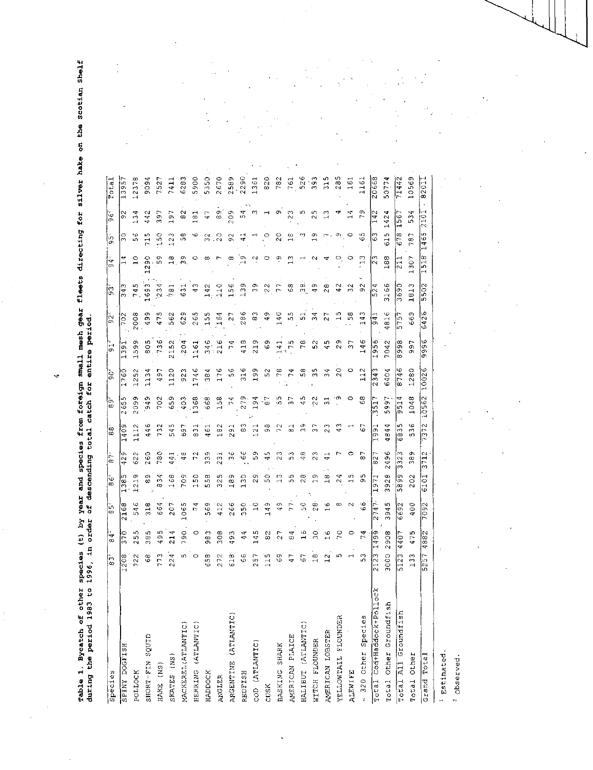$\bm{v}_2$ l O 0 . 0 .0 .. ٠. 0 tn 0 SI τ 61 o ., 0 0 en 0 <sup>1</sup> re<br>Loi<br>Loi w d ▪ 0 • 4-■ spec<br>ding<br>ding '0 g ya<br>o y  $\vec{a}$ .-- H 0 ę u v<br>ወ ማ a, o■ 1-1 o ដូ<br>ទី ទី in 01<br>0 d<br>0 d M 64 VP a, " .g H C.

VI ri

 $\ddot{\cdot}$ 

 $\frac{1}{2}$ 

ł,

 $\begin{array}{c} \mathbf{1} \\ \mathbf{1} \\ \mathbf{1} \\ \mathbf{1} \end{array}$ 

 $\ddot{\phantom{0}}$ 

| during the period 1983 to<br>rable 1. Bycatch of other | species<br>1996, in | χđ<br>order<br>Û   | 벙                        | descending<br>year and            |                         | total                    | species from foreign<br>catch | for                  | entire period<br>$small$ $mensn$ | gear          | <b>Ileets</b>                        | directing                      |                            | ă                                            | ă<br><b>TanTrs</b> | ō |
|--------------------------------------------------------|---------------------|--------------------|--------------------------|-----------------------------------|-------------------------|--------------------------|-------------------------------|----------------------|----------------------------------|---------------|--------------------------------------|--------------------------------|----------------------------|----------------------------------------------|--------------------|---|
| Species                                                | !ო<br>Į∞            | Ψ<br>œ             | ကြ                       | ١O<br>İ∞                          | ŀ-<br>$\infty$          | ¦∞<br> ∞                 | ကြ                            | ခြဲ                  | $\frac{1}{9}$                    | $\frac{1}{2}$ | .<br>وفا                             | $\overline{\phantom{a}}$<br>ຕົ | ကြ                         | ဖြ                                           | Tota               |   |
| <b>HSLIPOG ANIGS</b>                                   | 208                 | 37                 | 2168                     | $\frac{8}{3}$                     | σ<br>42                 | $\overline{0}$           | 265                           | 1760                 | 39                               | 702           | $\overline{34}$                      | $\rightarrow$                  | o<br>w                     | ø.                                           | 39.                |   |
| POLLOCK                                                | 722                 | Ю<br>$\frac{5}{2}$ | 546                      | $\frac{1}{2}$                     | 622                     | 112                      | 2099                          | 125                  | 1599                             | 2008          | 745                                  | $\frac{0}{1}$                  | φ<br>ഗ                     | 134                                          | 2378               |   |
| SHORT-FIN SQUID                                        | 68                  | Ю<br>38            | 318                      | თ<br>${}^{\infty}$                | 260                     | $\frac{6}{4}$            | $\frac{1}{2}$                 | ∂<br>∃               | 805                              | 499           | 1693                                 | 290                            | ഗ<br>$\overline{r}$        | 442                                          | ວ<br>ວິ            |   |
| HAKE (NS)                                              | 773                 | 495                | 664                      | S<br>$\infty$                     | 780                     | 732                      | 702                           | 497                  | 736                              | 475           | 234                                  | LO.                            | 150                        | 397                                          | 752'               |   |
| SKATES (NS)                                            | 224                 | 214                | 207                      | 168                               | 441                     | 545                      | $\overline{5}$                | $\frac{1}{2}$        | 2152                             | 562           | $\frac{1}{781}$                      | œ<br>$\overline{\phantom{0}}$  | т<br>$\frac{2}{1}$         | 197                                          | 7411               |   |
| MACKEREL (ATLANTIC)                                    | w                   | 790                | 065                      | 709                               | $\frac{8}{4}$           | 697                      | 403                           | $\frac{2}{9}$        | 204                              | 629           | $\frac{1}{2}$                        | ç<br>т,                        | co<br>G                    | $\frac{2}{3}$                                | 6283               |   |
| HERRING (ATLANTIC)                                     | $\circ$             | $\circ$            | 74                       | 150                               | N<br>r                  | $\frac{1}{6}$            | 1368                          | 1746                 | 1161                             | 265           | 43                                   | o                              | ю                          | 181                                          | 5900               |   |
| <b>HADDOCK</b>                                         | 658                 | M<br>98            | 569                      | 558                               | 339                     | 2                        | $\frac{8}{6}$                 | $\frac{6}{3}$        | φ<br>$\frac{4}{3}$               | 155           | $142\,$                              | œ                              | CA.<br>ω                   | $\overline{47}$                              | 5350               |   |
| <b>ANGLER</b>                                          | 272                 | 308                | 412                      | ഗ<br>$\frac{1}{2}$                | 231                     | 182                      | 158                           | 176                  | 216                              | 164           | 110                                  | ∼                              | 20                         | 8                                            | 2670               |   |
| ARGENTINE (ATLANTIC)                                   | 618                 | 493                | 266                      | $\infty$                          | ю<br>C)                 | $\overline{5}$           | $\overline{1}$                | ဖ<br>ю               | $-74$                            | $\sim$        | 156                                  | $\infty$                       | $\mathfrak{S}$             | 209                                          | 2589               |   |
| REDFISH                                                | $\frac{6}{5}$       | 44                 | 3.50                     | 130                               | $\frac{6}{3}$           | S<br>$\infty$            | ጣ<br>$\overline{27}$          | 316                  | 418                              | 286           | 139                                  | o,                             | $\mathbf{4}^{\mathbf{4}}$  | ი<br>4 ო                                     | 2290               |   |
| COD (ATLANTIC)                                         | 257                 | $\frac{1}{4}$      | $\overline{\phantom{0}}$ | o<br>$\sim$                       | 59                      | $\mathbf{C}$             | 4<br>თ                        | 199                  | 219                              | $\frac{3}{8}$ | $\mathbb{S}^2$                       | $\sim$                         |                            |                                              | 1361               |   |
| CUSK                                                   | $\frac{1}{115}$     | 82                 | 149                      | O<br>S.                           | ഗ<br><b>SP</b>          | 98                       | r<br>စာ                       | 52                   | $\frac{6}{9}$                    | $\frac{9}{4}$ | $\frac{22}{3}$                       | っ                              | e                          | $\mathbf{\mathbf{u}}$                        | 820                |   |
| BASKING SHARK                                          | $\frac{6}{9}$       | 27                 | Q b                      | ω<br>$\mathbf{\mathbf{H}}$        | m<br>N                  | 72                       | LN,<br>S,                     | 78                   | 141                              | 140           | 77                                   | بق                             | $\frac{0}{2}$              | o,                                           | 782                |   |
| AMERICAN PLAICE                                        | 47                  | 4<br>$^\infty$     | 77                       | م<br>Ю                            | Μ<br>ഗ                  | ದ                        | 57                            | 74                   | .ю                               | ှိ<br>က       | $^{63}$                              | S                              | $\omega$<br>$-1$           | $\overline{2}3$                              | 761                |   |
| HALIBUT (ATLANTIC)                                     | $\overline{6}$      | $\frac{6}{1}$      | SO                       | $\infty$<br>$\mathcal{A}$         | œ<br>₩                  | $\frac{9}{2}$            | 45                            | 58                   | $\infty$                         | 51            | တ်<br>က                              |                                | ಿ                          | n,                                           | 526                |   |
| WITCH FLOUNDER                                         | $\frac{\infty}{1}$  | $\overline{30}$    | œ<br>$\sim$              | σ                                 | Μ<br>$\sim$             | 37                       | $\sim$<br>Ņ                   | 35                   | $\sim$<br>U)                     | 34            | $\frac{9}{4}$                        | $\sim$                         | Q١                         | n,<br>$\sim$                                 | 393                |   |
| AMERICAN LOBSTER                                       | $\frac{2}{1}$       | Ю                  | G                        | ${}^{\circ}$                      | 4                       | $\mathfrak{Z}3$          | w                             | m                    | m<br>4                           | 27            | $\frac{8}{2}$                        | 4                              | г.,                        | $\mathbb{C}$                                 | 315                |   |
| YELLOWTAIL FLOUNDER                                    | 5                   | 20                 | ω                        | 4<br>$\sim$                       |                         | $\frac{3}{4}$            | ۰o                            | O<br>$\mathbf{\sim}$ | ഐ<br>$\sim$                      | ഗ<br>H        | 42                                   | $\bar{\mathbf{O}}_i$           | $\sigma_{\Sigma_{\rm{c}}}$ | ₩                                            | 285                |   |
| <b>ALEWIFE</b>                                         | ᆏ                   | 0                  | $\sim$                   | s<br>$\mathbf{\mathbf{H}}$        | o                       |                          |                               |                      | m                                | 58            | $\frac{2}{3}$                        | $\circ$                        | $\circ$                    | ব<br>$\overline{\phantom{0}}$                | 161                |   |
| - 320 Other Species                                    | $\frac{3}{5}$       | 74                 | $\frac{6}{9}$            | LO,<br>ጣ                          | $\overline{\circ}$      | G                        | $\frac{8}{5}$                 | 12                   | 146                              | ო<br>4<br>ᆏ   | 92                                   | $\frac{1}{2}$                  | $\mathcal{C}$              | o,                                           | 1161               |   |
| Total Cod+Haddock+Pollock                              | 212                 | c<br>4             | $\overline{27}$          | .<br>H                            | $\overline{8}$          | ۵Ő                       | 5                             | 234                  | 56<br>Ō)<br>H                    | $-16$         | 524                                  | ന<br>ŀ٧                        | 5<br>(v                    | N<br>$\mathbf{r}$                            | 20668              |   |
| Total Other Groundfish                                 | $\sim$<br>3000      | œ<br>ö<br>0        | 3945                     | ∞<br>3921                         | 2496                    | Φ<br>Z,<br>$\infty$      | 5997                          | 6404                 | 7042                             | 816           | 3166                                 | 188                            | $\frac{5}{10}$             | 1424                                         | 5077               |   |
| Total All Groundfish                                   | 5123                | $\frac{1}{9}$<br>4 | 6692                     | O<br>$\frac{5}{8}$                | m<br>332.               | $\frac{1}{8}$<br>৩       | 4<br>951                      | 874                  | 998                              | 575           | 3690                                 | 211                            | $\frac{8}{6}$              | 1567                                         | 71442              |   |
| Total Other                                            | 133                 | 475                | 400                      | 202                               | ጣ<br>$\frac{8}{2}$      | 536                      | 1048                          | 1280                 | $\overline{\sigma}$<br>o,        | 669           | S<br>$\overline{6}$<br>$\rightarrow$ | 1307                           | 787                        | 4<br>$\tilde{5}$                             | 10569              |   |
| Grand Total                                            | 4<br>5257           | N<br>$\frac{8}{6}$ | $\frac{560}{2}$          | $\overline{01}$<br>$\overline{6}$ | $\sim$<br>$\frac{1}{3}$ | $\sim$<br>$\overline{5}$ | 10562                         | Φ<br>002             | $\frac{6}{9}$<br>စာ<br>o         | o,<br>642     | $\frac{2}{2}$<br>۱n<br>l In          | œ<br>$\Xi$<br>٣t               | ഗ<br>$\frac{1}{46}$        | $\overline{\phantom{0}}$<br>$\frac{10}{210}$ | 8201               |   |
| Estimated.                                             |                     |                    |                          |                                   |                         |                          |                               |                      |                                  |               |                                      |                                |                            |                                              |                    |   |
|                                                        |                     |                    |                          |                                   |                         |                          |                               |                      |                                  |               |                                      |                                |                            |                                              |                    |   |

' observed.

 $\frac{1}{\sqrt{2}}$ 

 $\ddot{\phantom{a}}$ 

l,

,

 $\overline{a}$ 

 $\ddot{\phantom{0}}$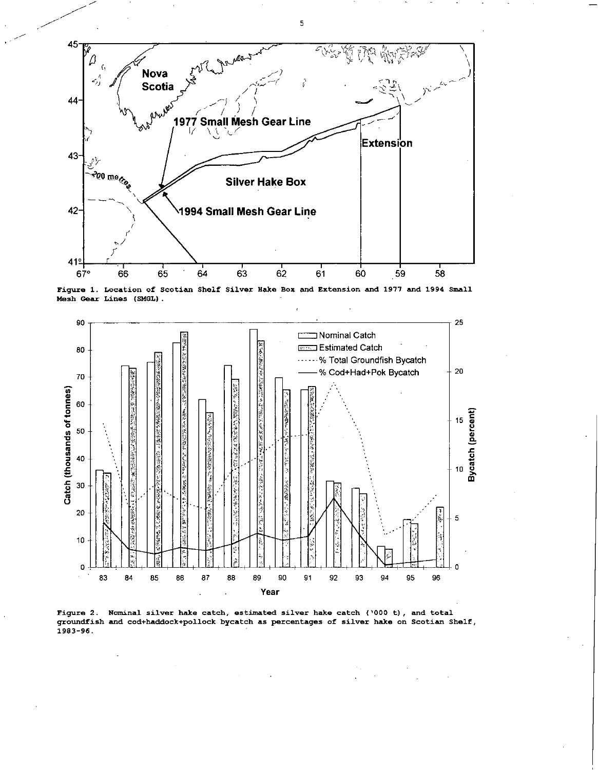

Figure 1. Location of Scotian Shelf Silver Hake Box and Extension and 1977 and 1994 Small Mesh Gear Lines (SMGL).



Figure 2. Nominal silver hake catch, estimated silver hake catch (`000 t), and total groundfish and cod+haddock+pollock bycatch as percentages of silver hake on Scotian Shelf, 1983-96.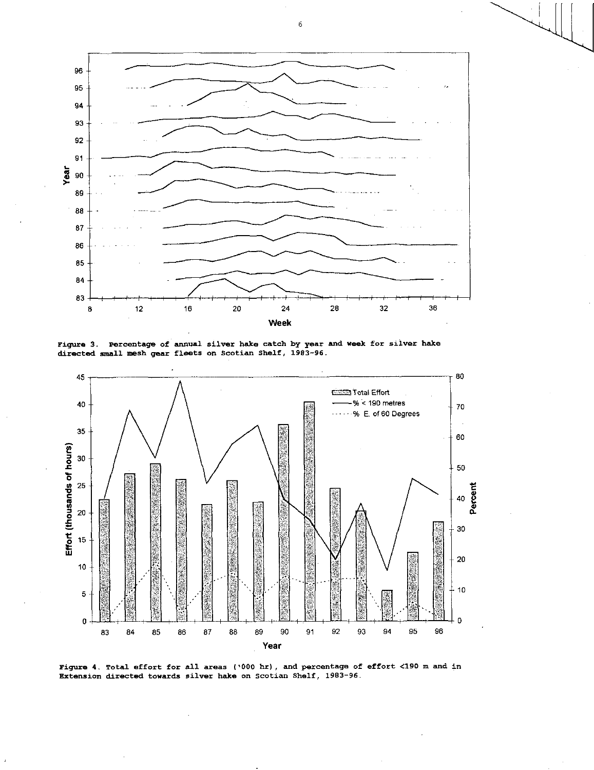

Figure 3. Percentage of annual silver hake catch by year and week for silver hake directed small mesh gear fleets on Scotian Shelf, 1983-96.



Figure 4. Total effort for all areas ('000 hr), and percentage of effort <190 m and in Extension directed towards silver hake on Scotian Shelf, 1983-96.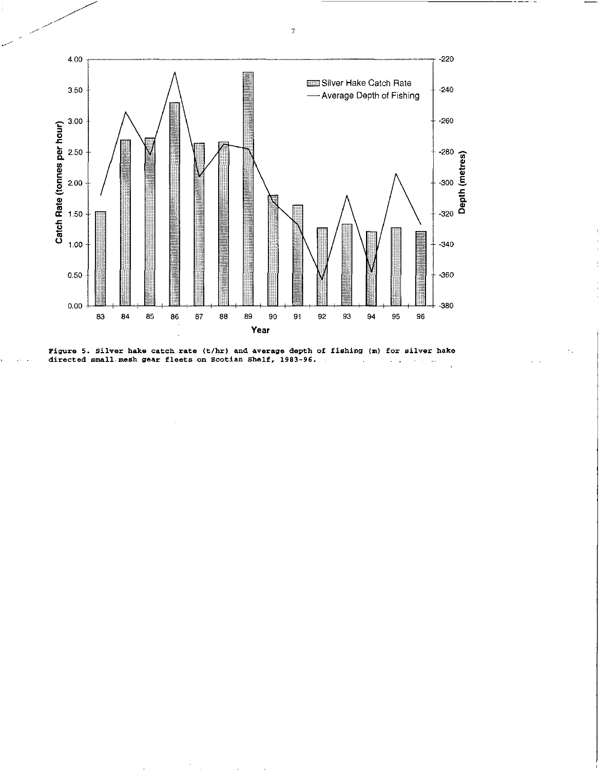



 $\overline{7}$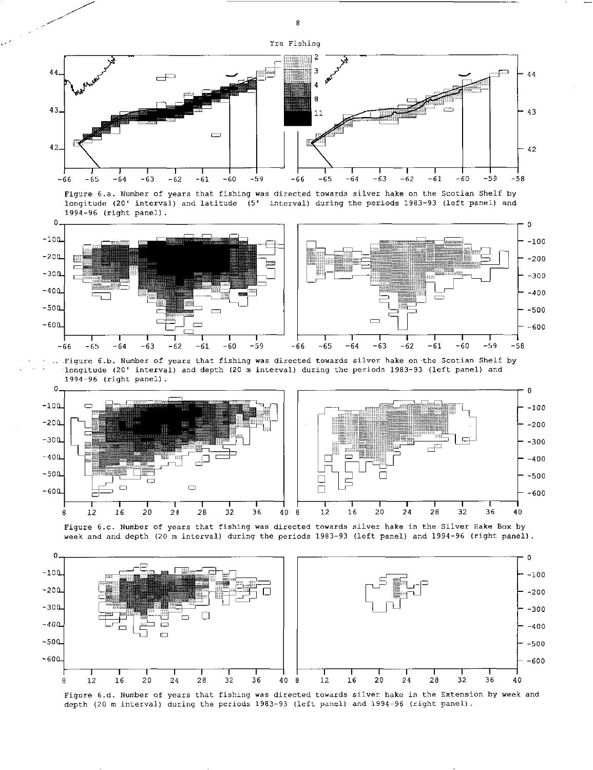







Figure 6.d. Number of years that fishing was directed towards silver hake in the Extension by week and depth (20 m interval) during the periods 1983-93 (left panel) and 1994-96 (right panel).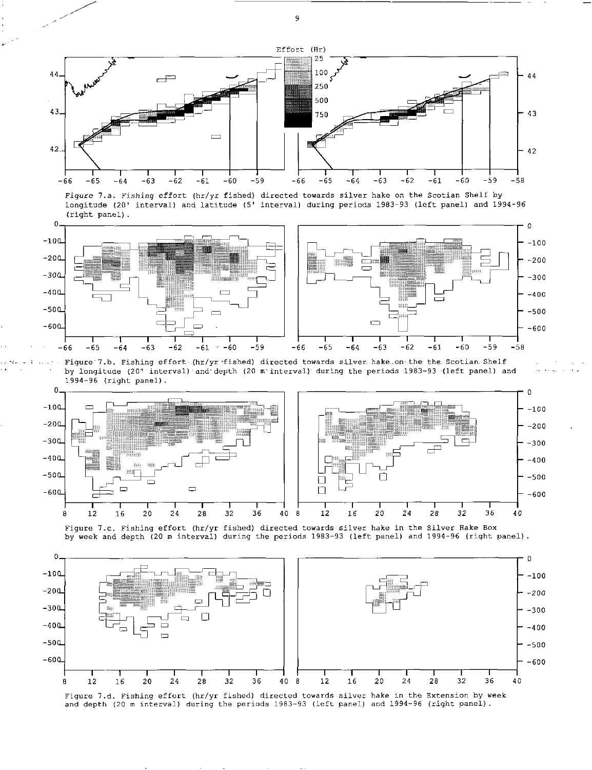

*Figure* 7.a. Fishing effort (hr/yr fished) directed towards silver hake on the Scotian Shelf by longitude (20' interval) and latitude (5' interval) during periods 1983-93 (left panel) and 1994-96 (right panel).



• Figure'7.b. Fishing effort.(hr/yr -fished) directed towards silver hake.on'the the. Scotian Shelf by longitude (20" interval) and depth (20 m interval) during the periods 1983-93 (left panel) and 1994-96 (right panel).



Figure 7.c. Fishing effort (hr/yr fished) directed towards silver hake in the Silver Hake Box by week and depth (20 m interval) during the periods 1983-93 (left panel) and 1994-96 (right panel).



Figure 7.d. Fishing effort (hr/yr fished) directed towards silver hake in the Extension by week and depth (20 m interval) during the periods 1983-93 (left panel) and 1994-96 (right panel).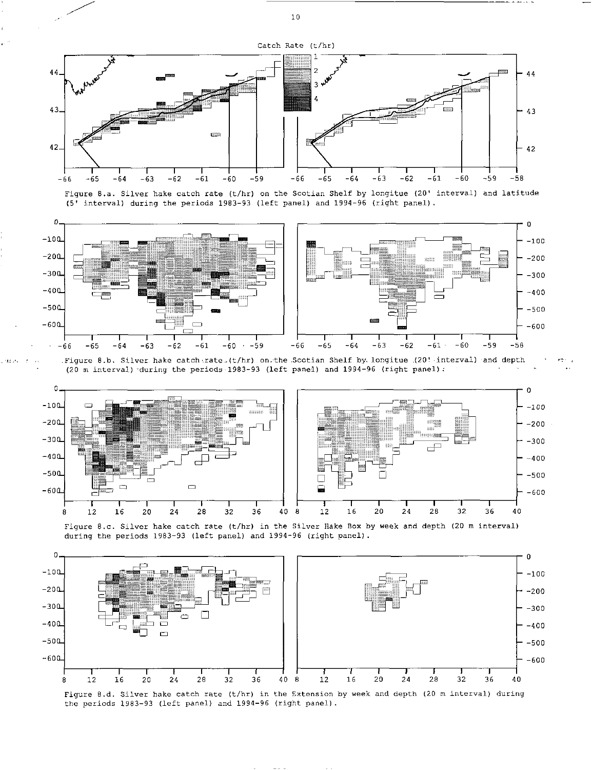

Figure 8.a. Silver hake catch rate (t/hr) on the Scotian Shelf by longitue (20' interval) and latitude (5' interval) during the periods 1983-93 (left panel) and 1994-96 (right panel).



.Figure 8.b. Silver hake catcherate.(t/hr) on.the Scotian Shelf by longitue (20! interval) and depth (20 m interval) during the periods 1983-93 (left panel) and 1994-96 (right panel):



Figure 8.c. Silver hake catch rate (t/hr) in the Silver Hake Box by week and depth (20 m interval) during the periods 1983-93 (left panel) and 1994-96 (right panel).



Figure 8.d. Silver hake catch rate (t/hr) in the Extension by week and depth (20 m interval) during the periods 1983-93 (left panel) and 1994-96 (right panel).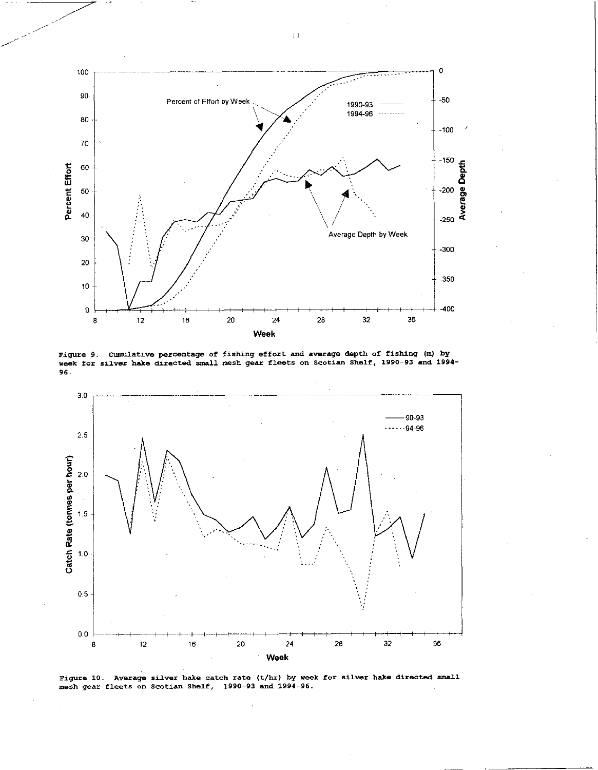

Figure 9. Cumulative percentage of fishing effort and average depth of fishing (m) by week for silver hake directed small mesh gear fleets on Scotian Shelf, 1990-93 and 1994- 96.



Figure 10. Average silver hake catch rate (t/hr) by week for silver hake directed small mesh gear fleets on Scotian Shelf, 1990-93 and 1994-96.

 $\!1$